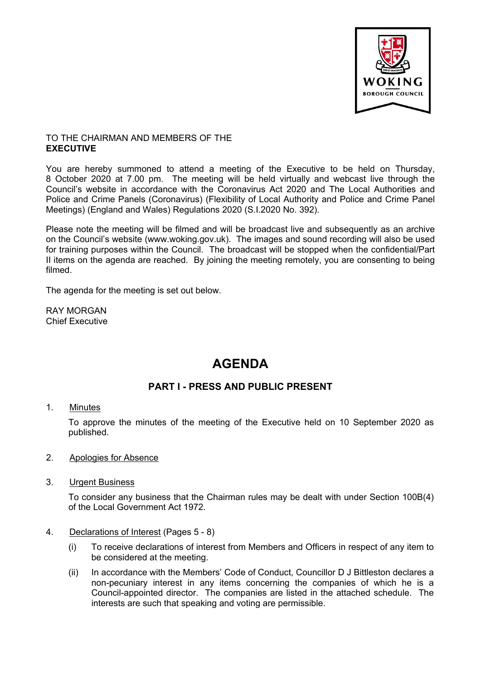

## TO THE CHAIRMAN AND MEMBERS OF THE **EXECUTIVE**

You are hereby summoned to attend a meeting of the Executive to be held on Thursday, 8 October 2020 at 7.00 pm. The meeting will be held virtually and webcast live through the Council's website in accordance with the Coronavirus Act 2020 and The Local Authorities and Police and Crime Panels (Coronavirus) (Flexibility of Local Authority and Police and Crime Panel Meetings) (England and Wales) Regulations 2020 (S.I.2020 No. 392).

Please note the meeting will be filmed and will be broadcast live and subsequently as an archive on the Council's website ([www.woking.gov.uk](http://www.woking.gov.uk/)). The images and sound recording will also be used for training purposes within the Council. The broadcast will be stopped when the confidential/Part II items on the agenda are reached. By joining the meeting remotely, you are consenting to being filmed.

The agenda for the meeting is set out below.

RAY MORGAN Chief Executive

# **AGENDA**

# **PART I - PRESS AND PUBLIC PRESENT**

## 1. Minutes

To approve the minutes of the meeting of the Executive held on 10 September 2020 as published.

- 2. Apologies for Absence
- 3. Urgent Business

To consider any business that the Chairman rules may be dealt with under Section 100B(4) of the Local Government Act 1972.

- 4. Declarations of Interest (Pages 5 8)
	- (i) To receive declarations of interest from Members and Officers in respect of any item to be considered at the meeting.
	- (ii) In accordance with the Members' Code of Conduct, Councillor D J Bittleston declares a non-pecuniary interest in any items concerning the companies of which he is a Council-appointed director. The companies are listed in the attached schedule. The interests are such that speaking and voting are permissible.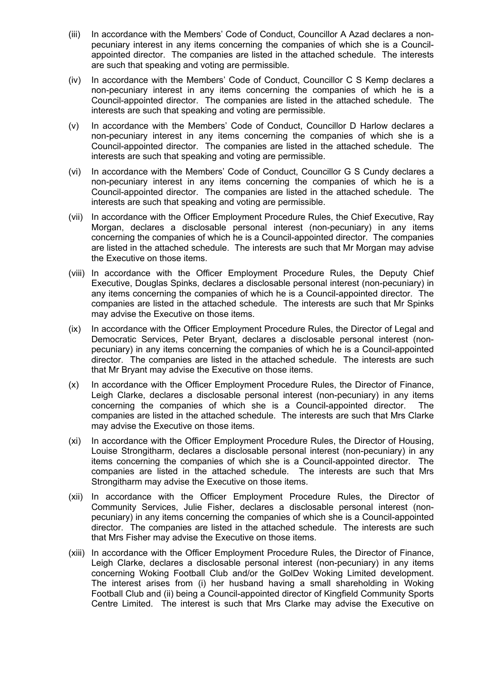- (iii) In accordance with the Members' Code of Conduct, Councillor A Azad declares a nonpecuniary interest in any items concerning the companies of which she is a Councilappointed director. The companies are listed in the attached schedule. The interests are such that speaking and voting are permissible.
- (iv) In accordance with the Members' Code of Conduct, Councillor C S Kemp declares a non-pecuniary interest in any items concerning the companies of which he is a Council-appointed director. The companies are listed in the attached schedule. The interests are such that speaking and voting are permissible.
- (v) In accordance with the Members' Code of Conduct, Councillor D Harlow declares a non-pecuniary interest in any items concerning the companies of which she is a Council-appointed director. The companies are listed in the attached schedule. The interests are such that speaking and voting are permissible.
- (vi) In accordance with the Members' Code of Conduct, Councillor G S Cundy declares a non-pecuniary interest in any items concerning the companies of which he is a Council-appointed director. The companies are listed in the attached schedule. The interests are such that speaking and voting are permissible.
- (vii) In accordance with the Officer Employment Procedure Rules, the Chief Executive, Ray Morgan, declares a disclosable personal interest (non-pecuniary) in any items concerning the companies of which he is a Council-appointed director. The companies are listed in the attached schedule. The interests are such that Mr Morgan may advise the Executive on those items.
- (viii) In accordance with the Officer Employment Procedure Rules, the Deputy Chief Executive, Douglas Spinks, declares a disclosable personal interest (non-pecuniary) in any items concerning the companies of which he is a Council-appointed director. The companies are listed in the attached schedule. The interests are such that Mr Spinks may advise the Executive on those items.
- (ix) In accordance with the Officer Employment Procedure Rules, the Director of Legal and Democratic Services, Peter Bryant, declares a disclosable personal interest (nonpecuniary) in any items concerning the companies of which he is a Council-appointed director. The companies are listed in the attached schedule. The interests are such that Mr Bryant may advise the Executive on those items.
- (x) In accordance with the Officer Employment Procedure Rules, the Director of Finance, Leigh Clarke, declares a disclosable personal interest (non-pecuniary) in any items concerning the companies of which she is a Council-appointed director. The companies are listed in the attached schedule. The interests are such that Mrs Clarke may advise the Executive on those items.
- (xi) In accordance with the Officer Employment Procedure Rules, the Director of Housing, Louise Strongitharm, declares a disclosable personal interest (non-pecuniary) in any items concerning the companies of which she is a Council-appointed director. The companies are listed in the attached schedule. The interests are such that Mrs Strongitharm may advise the Executive on those items.
- (xii) In accordance with the Officer Employment Procedure Rules, the Director of Community Services, Julie Fisher, declares a disclosable personal interest (nonpecuniary) in any items concerning the companies of which she is a Council-appointed director. The companies are listed in the attached schedule. The interests are such that Mrs Fisher may advise the Executive on those items.
- (xiii) In accordance with the Officer Employment Procedure Rules, the Director of Finance, Leigh Clarke, declares a disclosable personal interest (non-pecuniary) in any items concerning Woking Football Club and/or the GolDev Woking Limited development. The interest arises from (i) her husband having a small shareholding in Woking Football Club and (ii) being a Council-appointed director of Kingfield Community Sports Centre Limited. The interest is such that Mrs Clarke may advise the Executive on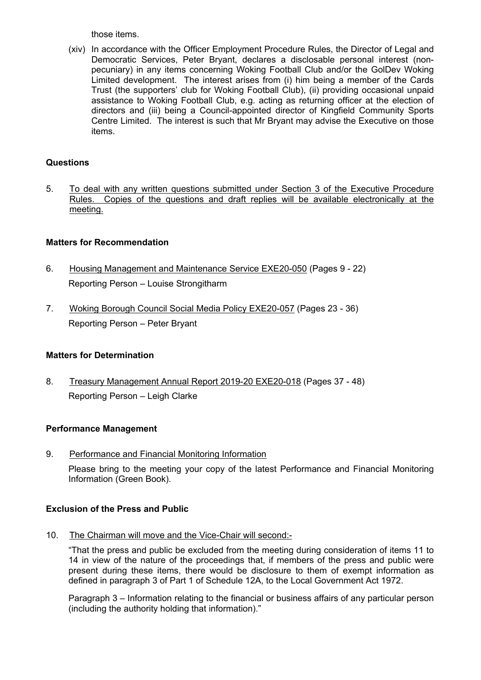those items.

(xiv) In accordance with the Officer Employment Procedure Rules, the Director of Legal and Democratic Services, Peter Bryant, declares a disclosable personal interest (nonpecuniary) in any items concerning Woking Football Club and/or the GolDev Woking Limited development. The interest arises from (i) him being a member of the Cards Trust (the supporters' club for Woking Football Club), (ii) providing occasional unpaid assistance to Woking Football Club, e.g. acting as returning officer at the election of directors and (iii) being a Council-appointed director of Kingfield Community Sports Centre Limited. The interest is such that Mr Bryant may advise the Executive on those items.

# **Questions**

5. To deal with any written questions submitted under Section 3 of the Executive Procedure Rules. Copies of the questions and draft replies will be available electronically at the meeting.

# **Matters for Recommendation**

- 6. Housing Management and Maintenance Service EXE20-050 (Pages 9 22) Reporting Person – Louise Strongitharm
- 7. Woking Borough Council Social Media Policy EXE20-057 (Pages 23 36) Reporting Person – Peter Bryant

## **Matters for Determination**

8. Treasury Management Annual Report 2019-20 EXE20-018 (Pages 37 - 48) Reporting Person – Leigh Clarke

# **Performance Management**

9. Performance and Financial Monitoring Information

Please bring to the meeting your copy of the latest Performance and Financial Monitoring Information (Green Book).

## **Exclusion of the Press and Public**

10. The Chairman will move and the Vice-Chair will second:-

"That the press and public be excluded from the meeting during consideration of items 11 to 14 in view of the nature of the proceedings that, if members of the press and public were present during these items, there would be disclosure to them of exempt information as defined in paragraph 3 of Part 1 of Schedule 12A, to the Local Government Act 1972.

Paragraph 3 – Information relating to the financial or business affairs of any particular person (including the authority holding that information)."